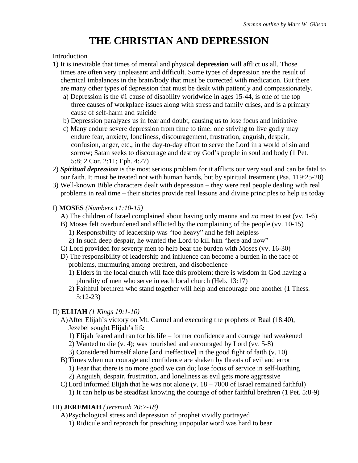# **THE CHRISTIAN AND DEPRESSION**

#### Introduction

- 1) It is inevitable that times of mental and physical **depression** will afflict us all. Those times are often very unpleasant and difficult. Some types of depression are the result of chemical imbalances in the brain/body that must be corrected with medication. But there are many other types of depression that must be dealt with patiently and compassionately.
	- a) Depression is the #1 cause of disability worldwide in ages 15-44, is one of the top three causes of workplace issues along with stress and family crises, and is a primary cause of self-harm and suicide
	- b) Depression paralyzes us in fear and doubt, causing us to lose focus and initiative
	- c) Many endure severe depression from time to time: one striving to live godly may endure fear, anxiety, loneliness, discouragement, frustration, anguish, despair, confusion, anger, etc., in the day-to-day effort to serve the Lord in a world of sin and sorrow; Satan seeks to discourage and destroy God's people in soul and body (1 Pet. 5:8; 2 Cor. 2:11; Eph. 4:27)
- 2) *Spiritual depression* is the most serious problem for it afflicts our very soul and can be fatal to our faith. It must be treated not with human hands, but by spiritual treatment (Psa. 119:25-28)
- 3) Well-known Bible characters dealt with depression they were real people dealing with real problems in real time – their stories provide real lessons and divine principles to help us today

## I) **MOSES** *(Numbers 11:10-15)*

- A) The children of Israel complained about having only manna and *no* meat to eat (vv. 1-6)
- B) Moses felt overburdened and afflicted by the complaining of the people (vv. 10-15)
	- 1) Responsibility of leadership was "too heavy" and he felt helpless
	- 2) In such deep despair, he wanted the Lord to kill him "here and now"
- C) Lord provided for seventy men to help bear the burden with Moses (vv. 16-30)
- D) The responsibility of leadership and influence can become a burden in the face of problems, murmuring among brethren, and disobedience
	- 1) Elders in the local church will face this problem; there is wisdom in God having a plurality of men who serve in each local church (Heb. 13:17)
	- 2) Faithful brethren who stand together will help and encourage one another (1 Thess. 5:12-23)

# II) **ELIJAH** *(1 Kings 19:1-10)*

- A)After Elijah's victory on Mt. Carmel and executing the prophets of Baal (18:40), Jezebel sought Elijah's life
	- 1) Elijah feared and ran for his life former confidence and courage had weakened
	- 2) Wanted to die (v. 4); was nourished and encouraged by Lord (vv. 5-8)
	- 3) Considered himself alone [and ineffective] in the good fight of faith (v. 10)
- B)Times when our courage and confidence are shaken by threats of evil and error 1) Fear that there is no more good we can do; lose focus of service in self-loathing
	- 2) Anguish, despair, frustration, and loneliness as evil gets more aggressive
- C) Lord informed Elijah that he was not alone (v.  $18 7000$  of Israel remained faithful)
	- 1) It can help us be steadfast knowing the courage of other faithful brethren (1 Pet. 5:8-9)

#### III) **JEREMIAH** *(Jeremiah 20:7-18)*

A)Psychological stress and depression of prophet vividly portrayed

1) Ridicule and reproach for preaching unpopular word was hard to bear